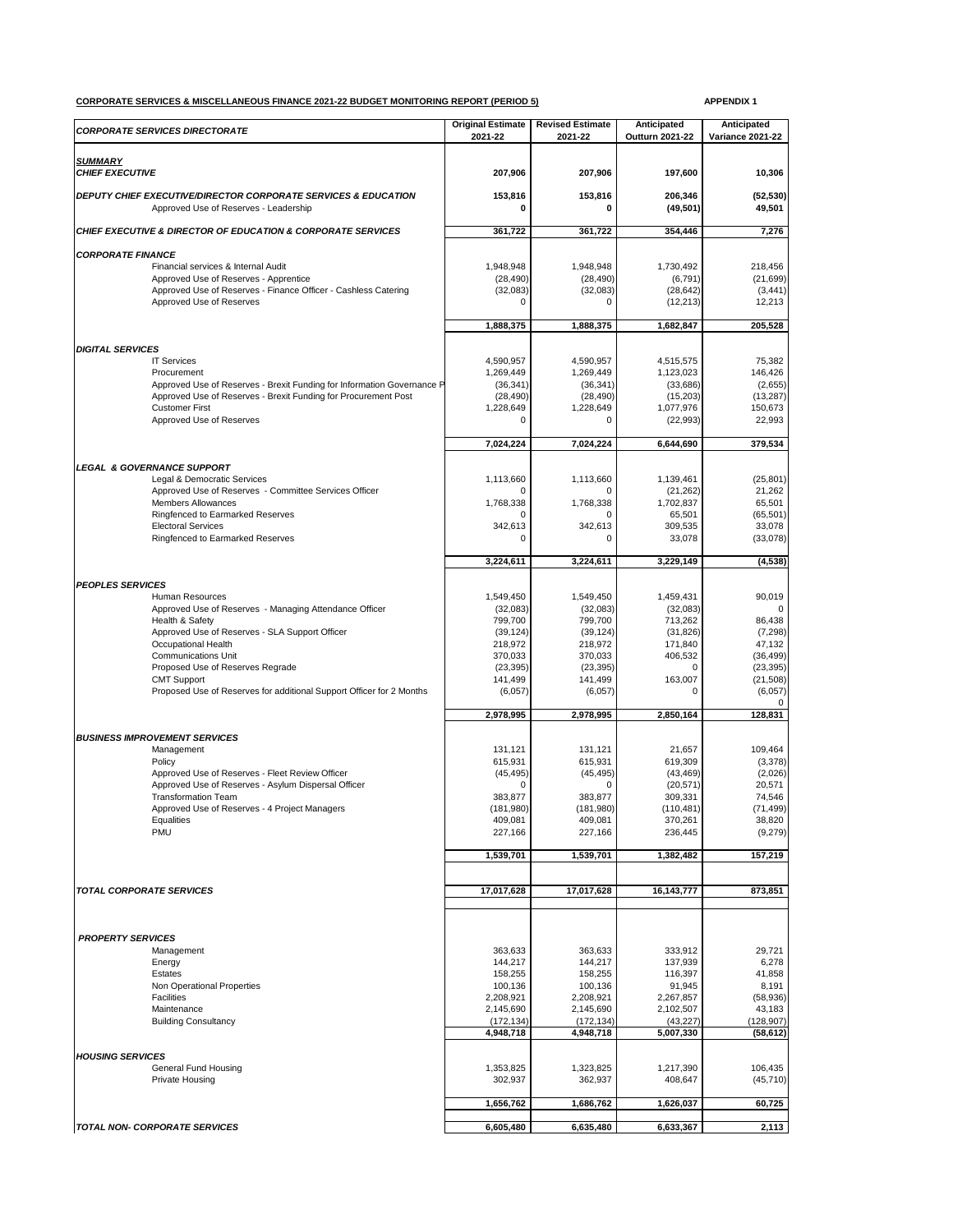## **CORPORATE SERVICES & MISCELLANEOUS FINANCE 2021-22 BUDGET MONITORING REPORT (PERIOD 5) APPENDIX 1**

| <b>CORPORATE SERVICES DIRECTORATE</b>                                                                                                    | <b>Original Estimate</b><br>2021-22 | <b>Revised Estimate</b><br>2021-22 | Anticipated<br><b>Outturn 2021-22</b> | Anticipated<br><b>Variance 2021-22</b> |
|------------------------------------------------------------------------------------------------------------------------------------------|-------------------------------------|------------------------------------|---------------------------------------|----------------------------------------|
| <b>SUMMARY</b>                                                                                                                           |                                     |                                    |                                       |                                        |
| <b>CHIEF EXECUTIVE</b>                                                                                                                   | 207,906                             | 207,906                            | 197,600                               | 10,306                                 |
| DEPUTY CHIEF EXECUTIVE/DIRECTOR CORPORATE SERVICES & EDUCATION<br>Approved Use of Reserves - Leadership                                  | 153,816<br>0                        | 153,816                            | 206,346<br>(49, 501)                  | (52, 530)<br>49,501                    |
| <b>CHIEF EXECUTIVE &amp; DIRECTOR OF EDUCATION &amp; CORPORATE SERVICES</b>                                                              | 361,722                             | 361,722                            | 354,446                               | 7,276                                  |
| <b>CORPORATE FINANCE</b>                                                                                                                 |                                     |                                    |                                       |                                        |
| Financial services & Internal Audit<br>Approved Use of Reserves - Apprentice                                                             | 1,948,948<br>(28, 490)              | 1,948,948<br>(28, 490)             | 1,730,492<br>(6, 791)                 | 218,456<br>(21, 699)                   |
| Approved Use of Reserves - Finance Officer - Cashless Catering                                                                           | (32,083)                            | (32,083)                           | (28, 642)                             | (3, 441)                               |
| Approved Use of Reserves                                                                                                                 |                                     |                                    | (12, 213)                             | 12,213                                 |
|                                                                                                                                          | 1,888,375                           | 1,888,375                          | 1,682,847                             | 205,528                                |
| <b>DIGITAL SERVICES</b>                                                                                                                  |                                     |                                    |                                       |                                        |
| <b>IT Services</b>                                                                                                                       | 4,590,957                           | 4,590,957                          | 4,515,575                             | 75,382                                 |
| Procurement                                                                                                                              | 1,269,449                           | 1,269,449                          | 1,123,023<br>(33,686)                 | 146,426                                |
| Approved Use of Reserves - Brexit Funding for Information Governance P<br>Approved Use of Reserves - Brexit Funding for Procurement Post | (36, 341)<br>(28, 490)              | (36, 341)<br>(28, 490)             | (15,203)                              | (2,655)<br>(13, 287)                   |
| <b>Customer First</b>                                                                                                                    | 1,228,649                           | 1,228,649                          | 1,077,976                             | 150,673                                |
| Approved Use of Reserves                                                                                                                 | ∩                                   |                                    | (22, 993)                             | 22,993                                 |
|                                                                                                                                          | 7,024,224                           | 7,024,224                          | 6,644,690                             | 379,534                                |
| <b>LEGAL &amp; GOVERNANCE SUPPORT</b>                                                                                                    |                                     |                                    |                                       |                                        |
| Legal & Democratic Services                                                                                                              | 1,113,660                           | 1,113,660                          | 1,139,461                             | (25, 801)                              |
| Approved Use of Reserves - Committee Services Officer<br><b>Members Allowances</b>                                                       | 0<br>1,768,338                      | O<br>1,768,338                     | (21, 262)<br>1,702,837                | 21,262<br>65,501                       |
| Ringfenced to Earmarked Reserves                                                                                                         | O                                   | O                                  | 65,501                                | (65, 501)                              |
| <b>Electoral Services</b>                                                                                                                | 342,613                             | 342,613                            | 309,535                               | 33,078                                 |
| Ringfenced to Earmarked Reserves                                                                                                         | ∩                                   | ∩                                  | 33,078                                | (33,078)                               |
|                                                                                                                                          | 3,224,611                           | 3,224,611                          | 3,229,149                             | (4, 538)                               |
| <b>PEOPLES SERVICES</b>                                                                                                                  |                                     |                                    |                                       |                                        |
| <b>Human Resources</b>                                                                                                                   | 1,549,450                           | 1,549,450                          | 1,459,431                             | 90,019                                 |
| Approved Use of Reserves - Managing Attendance Officer                                                                                   | (32,083)                            | (32,083)                           | (32,083)                              |                                        |
| Health & Safety<br>Approved Use of Reserves - SLA Support Officer                                                                        | 799,700<br>(39, 124)                | 799,700<br>(39, 124)               | 713,262<br>(31, 826)                  | 86,438<br>(7, 298)                     |
| Occupational Health                                                                                                                      | 218,972                             | 218,972                            | 171,840                               | 47,132                                 |
| <b>Communications Unit</b>                                                                                                               | 370,033                             | 370,033                            | 406,532                               | (36, 499)                              |
| Proposed Use of Reserves Regrade                                                                                                         | (23, 395)                           | (23, 395)                          | $\Omega$                              | (23, 395)                              |
| <b>CMT Support</b><br>Proposed Use of Reserves for additional Support Officer for 2 Months                                               | 141,499<br>(6,057)                  | 141,499<br>(6,057)                 | 163,007<br>0                          | (21,508)<br>(6,057)                    |
|                                                                                                                                          | 2,978,995                           | 2,978,995                          | 2,850,164                             | 128,831                                |
|                                                                                                                                          |                                     |                                    |                                       |                                        |
| <b>BUSINESS IMPROVEMENT SERVICES</b><br>Management                                                                                       | 131,121                             | 131,121                            | 21,657                                | 109,464                                |
| Policy                                                                                                                                   | 615,931                             | 615,931                            | 619,309                               | (3,378)                                |
| Approved Use of Reserves - Fleet Review Officer                                                                                          | (45, 495)                           | (45, 495)                          | (43, 469)                             | (2,026)                                |
| Approved Use of Reserves - Asylum Dispersal Officer                                                                                      | 0                                   | $\Omega$                           | (20, 571)                             | 20,571                                 |
| <b>Transformation Team</b><br>Approved Use of Reserves - 4 Project Managers                                                              | 383,877<br>(181,980)                | 383,877<br>(181,980)               | 309,331<br>(110, 481)                 | 74,546<br>(71, 499)                    |
| Equalities                                                                                                                               | 409,081                             | 409,081                            | 370,261                               | 38,820                                 |
| <b>PMU</b>                                                                                                                               | 227,166                             | 227,166                            | 236,445                               | (9,279)                                |
|                                                                                                                                          | 1,539,701                           | 1,539,701                          | 1,382,482                             | 157,219                                |
|                                                                                                                                          |                                     |                                    |                                       |                                        |
| <b>TOTAL CORPORATE SERVICES</b>                                                                                                          | 17,017,628                          | 17,017,628                         | 16,143,777                            | 873,851                                |
|                                                                                                                                          |                                     |                                    |                                       |                                        |
| <b>PROPERTY SERVICES</b>                                                                                                                 |                                     |                                    |                                       |                                        |
| Management                                                                                                                               | 363,633                             | 363,633                            | 333,912                               | 29,721                                 |
| Energy<br>Estates                                                                                                                        | 144,217<br>158,255                  | 144,217<br>158,255                 | 137,939<br>116,397                    | 6,278<br>41,858                        |
| Non Operational Properties                                                                                                               | 100,136                             | 100,136                            | 91,945                                | 8,191                                  |
| <b>Facilities</b>                                                                                                                        | 2,208,921                           | 2,208,921                          | 2,267,857                             | (58, 936)                              |
| Maintenance                                                                                                                              | 2,145,690                           | 2,145,690                          | 2,102,507                             | 43,183                                 |
| <b>Building Consultancy</b>                                                                                                              | (172, 134)<br>4,948,718             | (172, 134)<br>4,948,718            | (43, 227)<br>5,007,330                | (128, 907)<br>(58, 612)                |
| <b>HOUSING SERVICES</b>                                                                                                                  |                                     |                                    |                                       |                                        |
| <b>General Fund Housing</b>                                                                                                              | 1,353,825                           | 1,323,825                          | 1,217,390                             | 106,435                                |
| Private Housing                                                                                                                          | 302,937                             | 362,937                            | 408,647                               | (45, 710)                              |
|                                                                                                                                          | 1,656,762                           | 1,686,762                          | 1,626,037                             | 60,725                                 |
| <b>TOTAL NON- CORPORATE SERVICES</b>                                                                                                     | 6,605,480                           | 6,635,480                          | 6,633,367                             | 2,113                                  |
|                                                                                                                                          |                                     |                                    |                                       |                                        |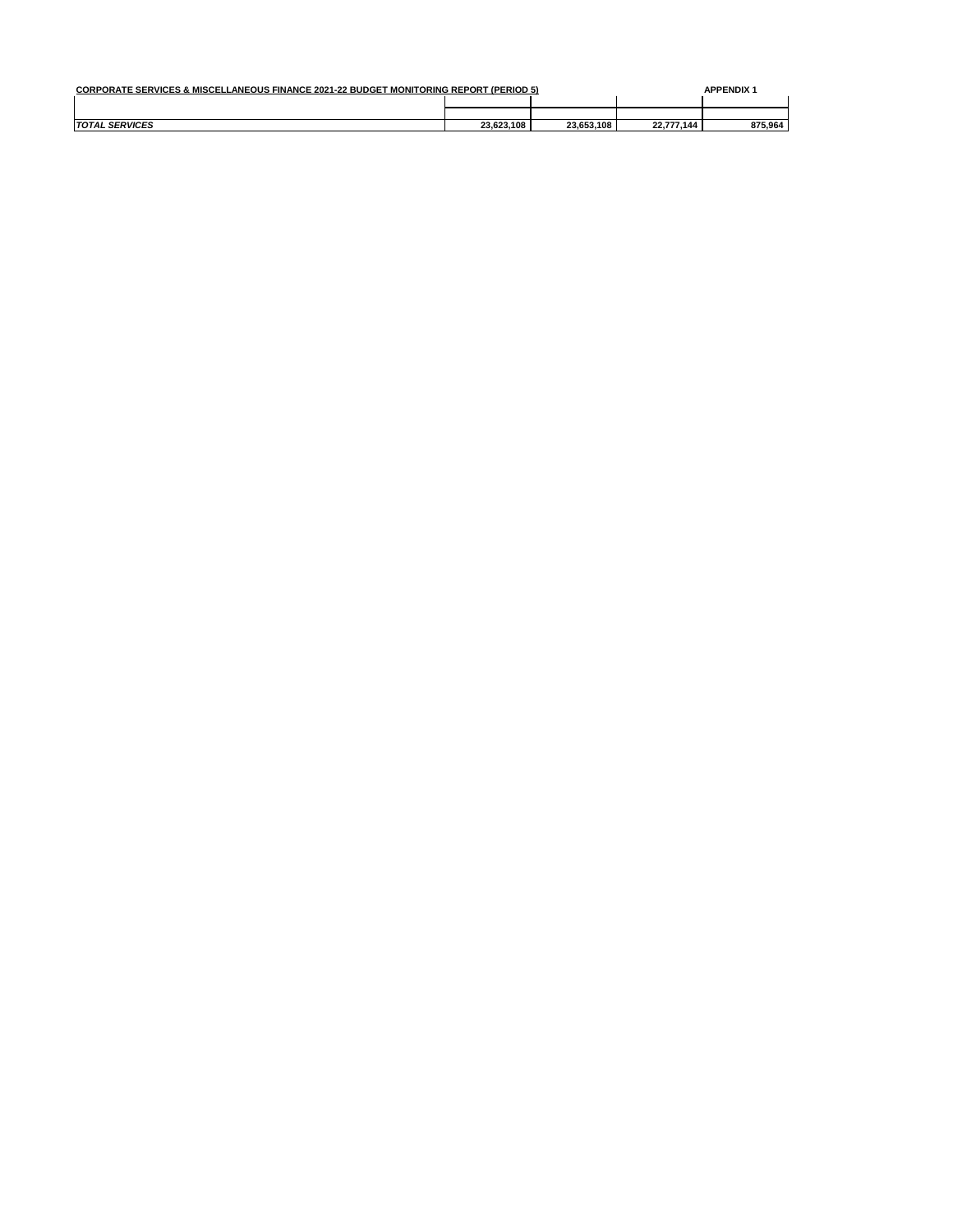| <b>CORPORATE SERVICES &amp; MISCELLANEOUS FINANCE 2021-22 BUDGET MONITORING REPORT (PERIOD 5)</b> |            |            |            |         |  |
|---------------------------------------------------------------------------------------------------|------------|------------|------------|---------|--|
|                                                                                                   |            |            |            |         |  |
|                                                                                                   |            |            |            |         |  |
| <b>TOTAL SERVICES</b>                                                                             | 23.623.108 | 23.653.108 | 22.777.144 | 875.964 |  |